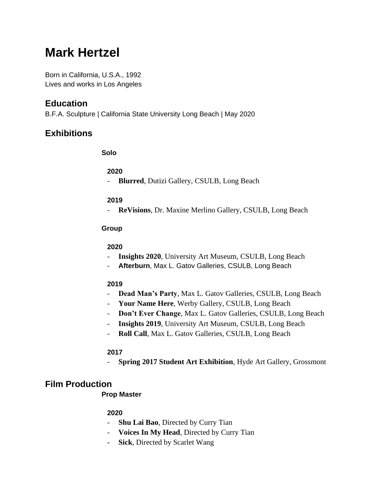# **Mark Hertzel**

Born in California, U.S.A., 1992 Lives and works in Los Angeles

# **Education**

B.F.A. Sculpture | California State University Long Beach | May 2020

# **Exhibitions**

### **Solo**

### **2020**

- **Blurred**, Dutizi Gallery, CSULB, Long Beach

### **2019**

- **ReVisions**, Dr. Maxine Merlino Gallery, CSULB, Long Beach

### **Group**

### **2020**

- **Insights 2020**, University Art Museum, CSULB, Long Beach
- Afterburn, Max L. Gatov Galleries, CSULB, Long Beach

### **2019**

- **Dead Man's Party**, Max L. Gatov Galleries, CSULB, Long Beach
- **Your Name Here**, Werby Gallery, CSULB, Long Beach
- **Don't Ever Change**, Max L. Gatov Galleries, CSULB, Long Beach
- **Insights 2019**, University Art Museum, CSULB, Long Beach
- **Roll Call**, Max L. Gatov Galleries, CSULB, Long Beach

### **2017**

- **Spring 2017 Student Art Exhibition**, Hyde Art Gallery, Grossmont

# **Film Production**

## **Prop Master**

### **2020**

- **Shu Lai Bao**, Directed by Curry Tian
- **Voices In My Head**, Directed by Curry Tian
- **Sick**, Directed by Scarlet Wang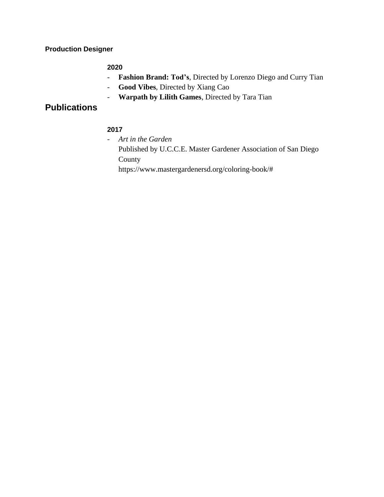**Production Designer**

#### **2020**

- **Fashion Brand: Tod's**, Directed by Lorenzo Diego and Curry Tian
- **Good Vibes**, Directed by Xiang Cao
- **Warpath by Lilith Games**, Directed by Tara Tian

# **Publications**

### **2017**

- *Art in the Garden* Published by U.C.C.E. Master Gardener Association of San Diego County

https://www.mastergardenersd.org/coloring-book/#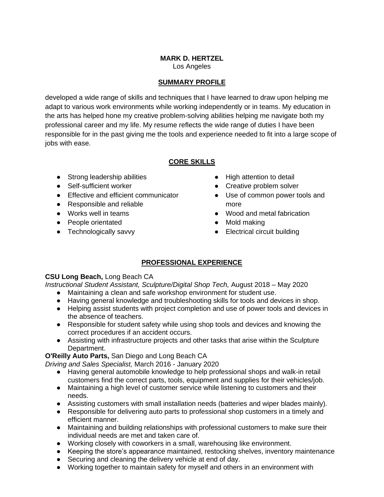# **MARK D. HERTZEL**

Los Angeles

### **SUMMARY PROFILE**

developed a wide range of skills and techniques that I have learned to draw upon helping me adapt to various work environments while working independently or in teams. My education in the arts has helped hone my creative problem-solving abilities helping me navigate both my professional career and my life. My resume reflects the wide range of duties I have been responsible for in the past giving me the tools and experience needed to fit into a large scope of jobs with ease.

### **CORE SKILLS**

- Strong leadership abilities
- Self-sufficient worker
- Effective and efficient communicator
- Responsible and reliable
- Works well in teams
- People orientated
- Technologically savvy
- High attention to detail
- Creative problem solver
- Use of common power tools and more
- Wood and metal fabrication
- Mold making
- Electrical circuit building

## **PROFESSIONAL EXPERIENCE**

### **CSU Long Beach,** Long Beach CA

*Instructional Student Assistant, Sculpture/Digital Shop Tech,* August 2018 – May 2020

- Maintaining a clean and safe workshop environment for student use.
- Having general knowledge and troubleshooting skills for tools and devices in shop.
- Helping assist students with project completion and use of power tools and devices in the absence of teachers.
- Responsible for student safety while using shop tools and devices and knowing the correct procedures if an accident occurs.
- Assisting with infrastructure projects and other tasks that arise within the Sculpture Department.

### **O'Reilly Auto Parts,** San Diego and Long Beach CA

*Driving and Sales Specialist,* March 2016 - January 2020

- Having general automobile knowledge to help professional shops and walk-in retail customers find the correct parts, tools, equipment and supplies for their vehicles/job.
- Maintaining a high level of customer service while listening to customers and their needs.
- Assisting customers with small installation needs (batteries and wiper blades mainly).
- Responsible for delivering auto parts to professional shop customers in a timely and efficient manner.
- Maintaining and building relationships with professional customers to make sure their individual needs are met and taken care of.
- Working closely with coworkers in a small, warehousing like environment.
- Keeping the store's appearance maintained, restocking shelves, inventory maintenance
- Securing and cleaning the delivery vehicle at end of day.
- Working together to maintain safety for myself and others in an environment with